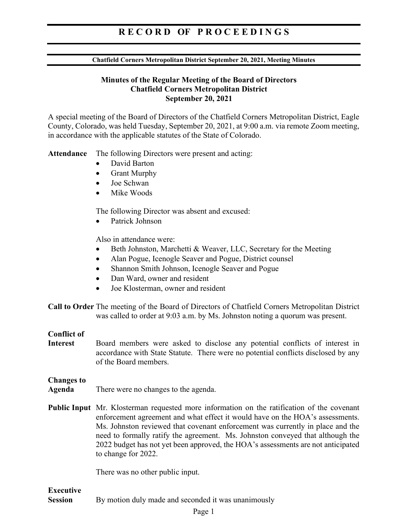## RECORD OF PROCEEDINGS

#### Chatfield Corners Metropolitan District September 20, 2021, Meeting Minutes

## Minutes of the Regular Meeting of the Board of Directors Chatfield Corners Metropolitan District September 20, 2021

A special meeting of the Board of Directors of the Chatfield Corners Metropolitan District, Eagle County, Colorado, was held Tuesday, September 20, 2021, at 9:00 a.m. via remote Zoom meeting, in accordance with the applicable statutes of the State of Colorado.

Attendance The following Directors were present and acting:

- David Barton
- Grant Murphy
- Joe Schwan
- Mike Woods

The following Director was absent and excused:

Patrick Johnson

Also in attendance were:

- Beth Johnston, Marchetti & Weaver, LLC, Secretary for the Meeting
- Alan Pogue, Icenogle Seaver and Pogue, District counsel
- Shannon Smith Johnson, Icenogle Seaver and Pogue
- Dan Ward, owner and resident
- Joe Klosterman, owner and resident

Call to Order The meeting of the Board of Directors of Chatfield Corners Metropolitan District was called to order at 9:03 a.m. by Ms. Johnston noting a quorum was present.

## Conflict of

Interest Board members were asked to disclose any potential conflicts of interest in accordance with State Statute. There were no potential conflicts disclosed by any of the Board members.

### Changes to

- Agenda There were no changes to the agenda.
- Public Input Mr. Klosterman requested more information on the ratification of the covenant enforcement agreement and what effect it would have on the HOA's assessments. Ms. Johnston reviewed that covenant enforcement was currently in place and the need to formally ratify the agreement. Ms. Johnston conveyed that although the 2022 budget has not yet been approved, the HOA's assessments are not anticipated to change for 2022.

There was no other public input.

## Executive Session By motion duly made and seconded it was unanimously